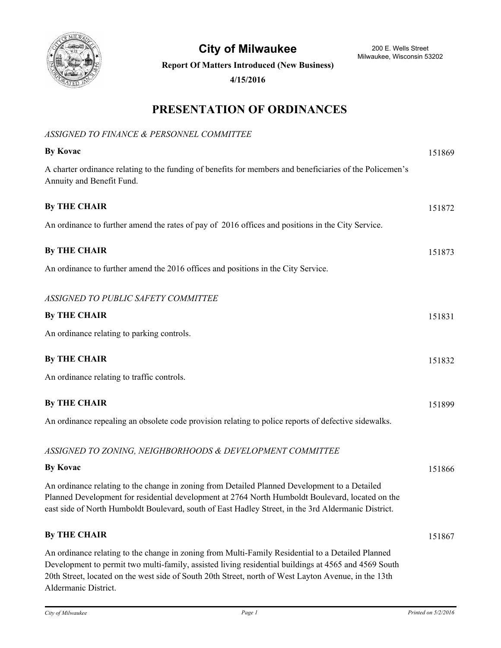

**City of Milwaukee** 200 E. Wells Street

**Report Of Matters Introduced (New Business)**

**4/15/2016**

## **PRESENTATION OF ORDINANCES**

#### *ASSIGNED TO FINANCE & PERSONNEL COMMITTEE*

| <b>By Kovac</b>                                                                                                                                                                                                                                                                                                   | 151869 |
|-------------------------------------------------------------------------------------------------------------------------------------------------------------------------------------------------------------------------------------------------------------------------------------------------------------------|--------|
| A charter ordinance relating to the funding of benefits for members and beneficiaries of the Policemen's<br>Annuity and Benefit Fund.                                                                                                                                                                             |        |
| <b>By THE CHAIR</b>                                                                                                                                                                                                                                                                                               | 151872 |
| An ordinance to further amend the rates of pay of 2016 offices and positions in the City Service.                                                                                                                                                                                                                 |        |
| <b>By THE CHAIR</b>                                                                                                                                                                                                                                                                                               | 151873 |
| An ordinance to further amend the 2016 offices and positions in the City Service.                                                                                                                                                                                                                                 |        |
| ASSIGNED TO PUBLIC SAFETY COMMITTEE                                                                                                                                                                                                                                                                               |        |
| <b>By THE CHAIR</b>                                                                                                                                                                                                                                                                                               | 151831 |
| An ordinance relating to parking controls.                                                                                                                                                                                                                                                                        |        |
| <b>By THE CHAIR</b>                                                                                                                                                                                                                                                                                               | 151832 |
| An ordinance relating to traffic controls.                                                                                                                                                                                                                                                                        |        |
| <b>By THE CHAIR</b>                                                                                                                                                                                                                                                                                               | 151899 |
| An ordinance repealing an obsolete code provision relating to police reports of defective sidewalks.                                                                                                                                                                                                              |        |
| ASSIGNED TO ZONING, NEIGHBORHOODS & DEVELOPMENT COMMITTEE                                                                                                                                                                                                                                                         |        |
| <b>By Kovac</b>                                                                                                                                                                                                                                                                                                   | 151866 |
| An ordinance relating to the change in zoning from Detailed Planned Development to a Detailed<br>Planned Development for residential development at 2764 North Humboldt Boulevard, located on the<br>east side of North Humboldt Boulevard, south of East Hadley Street, in the 3rd Aldermanic District.          |        |
| <b>By THE CHAIR</b>                                                                                                                                                                                                                                                                                               | 151867 |
| An ordinance relating to the change in zoning from Multi-Family Residential to a Detailed Planned<br>Development to permit two multi-family, assisted living residential buildings at 4565 and 4569 South<br>20th Street, located on the west side of South 20th Street, north of West Layton Avenue, in the 13th |        |

Aldermanic District.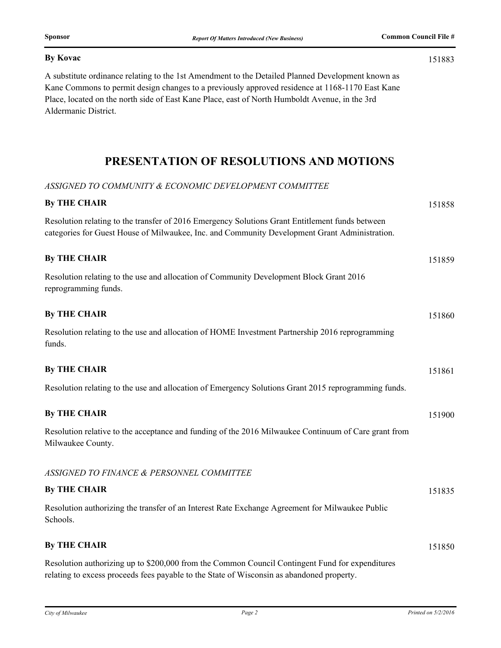#### **By Kovac** 151883

A substitute ordinance relating to the 1st Amendment to the Detailed Planned Development known as Kane Commons to permit design changes to a previously approved residence at 1168-1170 East Kane Place, located on the north side of East Kane Place, east of North Humboldt Avenue, in the 3rd Aldermanic District.

### **PRESENTATION OF RESOLUTIONS AND MOTIONS**

#### *ASSIGNED TO COMMUNITY & ECONOMIC DEVELOPMENT COMMITTEE*

| <b>By THE CHAIR</b>                                                                                                                                                                              | 151858 |
|--------------------------------------------------------------------------------------------------------------------------------------------------------------------------------------------------|--------|
| Resolution relating to the transfer of 2016 Emergency Solutions Grant Entitlement funds between<br>categories for Guest House of Milwaukee, Inc. and Community Development Grant Administration. |        |
| <b>By THE CHAIR</b>                                                                                                                                                                              | 151859 |
| Resolution relating to the use and allocation of Community Development Block Grant 2016<br>reprogramming funds.                                                                                  |        |
| <b>By THE CHAIR</b>                                                                                                                                                                              | 151860 |
| Resolution relating to the use and allocation of HOME Investment Partnership 2016 reprogramming<br>funds.                                                                                        |        |
| <b>By THE CHAIR</b>                                                                                                                                                                              | 151861 |
| Resolution relating to the use and allocation of Emergency Solutions Grant 2015 reprogramming funds.                                                                                             |        |
| <b>By THE CHAIR</b>                                                                                                                                                                              | 151900 |
| Resolution relative to the acceptance and funding of the 2016 Milwaukee Continuum of Care grant from<br>Milwaukee County.                                                                        |        |
| ASSIGNED TO FINANCE & PERSONNEL COMMITTEE                                                                                                                                                        |        |
| <b>By THE CHAIR</b>                                                                                                                                                                              | 151835 |
| Resolution authorizing the transfer of an Interest Rate Exchange Agreement for Milwaukee Public<br>Schools.                                                                                      |        |
| <b>By THE CHAIR</b>                                                                                                                                                                              | 151850 |
| Resolution authorizing up to \$200,000 from the Common Council Contingent Fund for expenditures<br>relating to excess proceeds fees payable to the State of Wisconsin as abandoned property.     |        |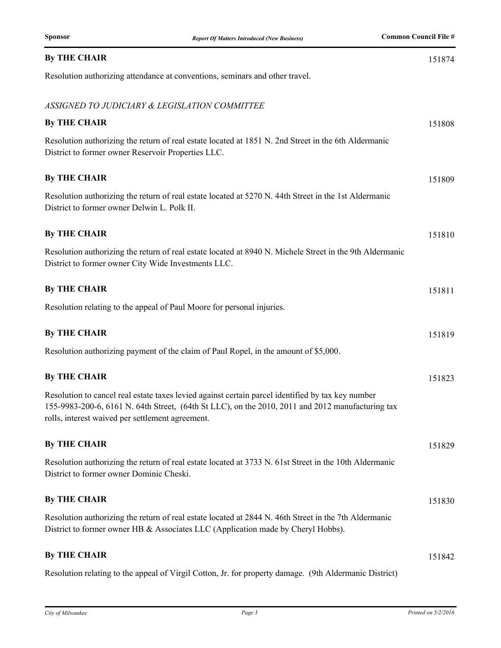| <b>By THE CHAIR</b>                                                                                                                                                                                                                                       | 151874 |
|-----------------------------------------------------------------------------------------------------------------------------------------------------------------------------------------------------------------------------------------------------------|--------|
| Resolution authorizing attendance at conventions, seminars and other travel.                                                                                                                                                                              |        |
| ASSIGNED TO JUDICIARY & LEGISLATION COMMITTEE                                                                                                                                                                                                             |        |
| <b>By THE CHAIR</b>                                                                                                                                                                                                                                       | 151808 |
| Resolution authorizing the return of real estate located at 1851 N. 2nd Street in the 6th Aldermanic<br>District to former owner Reservoir Properties LLC.                                                                                                |        |
| <b>By THE CHAIR</b>                                                                                                                                                                                                                                       | 151809 |
| Resolution authorizing the return of real estate located at 5270 N. 44th Street in the 1st Aldermanic<br>District to former owner Delwin L. Polk II.                                                                                                      |        |
| <b>By THE CHAIR</b>                                                                                                                                                                                                                                       | 151810 |
| Resolution authorizing the return of real estate located at 8940 N. Michele Street in the 9th Aldermanic<br>District to former owner City Wide Investments LLC.                                                                                           |        |
| <b>By THE CHAIR</b>                                                                                                                                                                                                                                       | 151811 |
| Resolution relating to the appeal of Paul Moore for personal injuries.                                                                                                                                                                                    |        |
| <b>By THE CHAIR</b>                                                                                                                                                                                                                                       | 151819 |
| Resolution authorizing payment of the claim of Paul Ropel, in the amount of \$5,000.                                                                                                                                                                      |        |
| <b>By THE CHAIR</b>                                                                                                                                                                                                                                       | 151823 |
| Resolution to cancel real estate taxes levied against certain parcel identified by tax key number<br>155-9983-200-6, 6161 N. 64th Street, (64th St LLC), on the 2010, 2011 and 2012 manufacturing tax<br>rolls, interest waived per settlement agreement. |        |
| <b>By THE CHAIR</b>                                                                                                                                                                                                                                       | 151829 |
| Resolution authorizing the return of real estate located at 3733 N. 61st Street in the 10th Aldermanic<br>District to former owner Dominic Cheski.                                                                                                        |        |
| <b>By THE CHAIR</b>                                                                                                                                                                                                                                       | 151830 |
| Resolution authorizing the return of real estate located at 2844 N. 46th Street in the 7th Aldermanic<br>District to former owner HB & Associates LLC (Application made by Cheryl Hobbs).                                                                 |        |
| <b>By THE CHAIR</b>                                                                                                                                                                                                                                       | 151842 |

Resolution relating to the appeal of Virgil Cotton, Jr. for property damage. (9th Aldermanic District)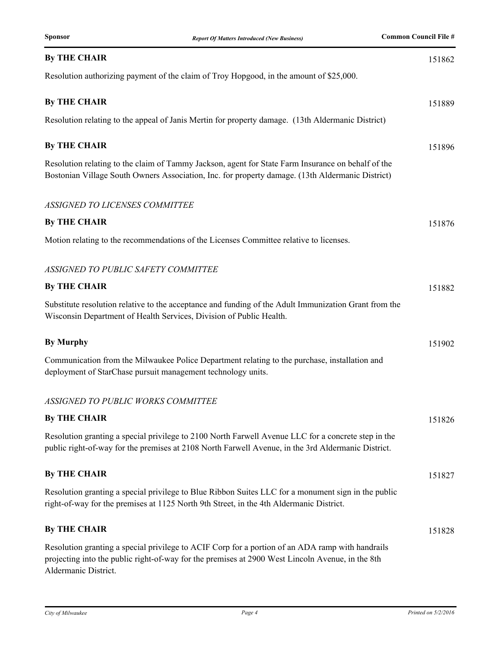| <b>By THE CHAIR</b>                                                                                                                                                                                                          | 151862 |
|------------------------------------------------------------------------------------------------------------------------------------------------------------------------------------------------------------------------------|--------|
| Resolution authorizing payment of the claim of Troy Hopgood, in the amount of \$25,000.                                                                                                                                      |        |
| <b>By THE CHAIR</b>                                                                                                                                                                                                          | 151889 |
| Resolution relating to the appeal of Janis Mertin for property damage. (13th Aldermanic District)                                                                                                                            |        |
| <b>By THE CHAIR</b>                                                                                                                                                                                                          | 151896 |
| Resolution relating to the claim of Tammy Jackson, agent for State Farm Insurance on behalf of the<br>Bostonian Village South Owners Association, Inc. for property damage. (13th Aldermanic District)                       |        |
| ASSIGNED TO LICENSES COMMITTEE                                                                                                                                                                                               |        |
| <b>By THE CHAIR</b>                                                                                                                                                                                                          | 151876 |
| Motion relating to the recommendations of the Licenses Committee relative to licenses.                                                                                                                                       |        |
| ASSIGNED TO PUBLIC SAFETY COMMITTEE                                                                                                                                                                                          |        |
| <b>By THE CHAIR</b>                                                                                                                                                                                                          | 151882 |
| Substitute resolution relative to the acceptance and funding of the Adult Immunization Grant from the<br>Wisconsin Department of Health Services, Division of Public Health.                                                 |        |
| <b>By Murphy</b>                                                                                                                                                                                                             | 151902 |
| Communication from the Milwaukee Police Department relating to the purchase, installation and<br>deployment of StarChase pursuit management technology units.                                                                |        |
| ASSIGNED TO PUBLIC WORKS COMMITTEE                                                                                                                                                                                           |        |
| <b>By THE CHAIR</b>                                                                                                                                                                                                          | 151826 |
| Resolution granting a special privilege to 2100 North Farwell Avenue LLC for a concrete step in the<br>public right-of-way for the premises at 2108 North Farwell Avenue, in the 3rd Aldermanic District.                    |        |
| <b>By THE CHAIR</b>                                                                                                                                                                                                          | 151827 |
| Resolution granting a special privilege to Blue Ribbon Suites LLC for a monument sign in the public<br>right-of-way for the premises at 1125 North 9th Street, in the 4th Aldermanic District.                               |        |
| <b>By THE CHAIR</b>                                                                                                                                                                                                          | 151828 |
| Resolution granting a special privilege to ACIF Corp for a portion of an ADA ramp with handrails<br>projecting into the public right-of-way for the premises at 2900 West Lincoln Avenue, in the 8th<br>Aldermanic District. |        |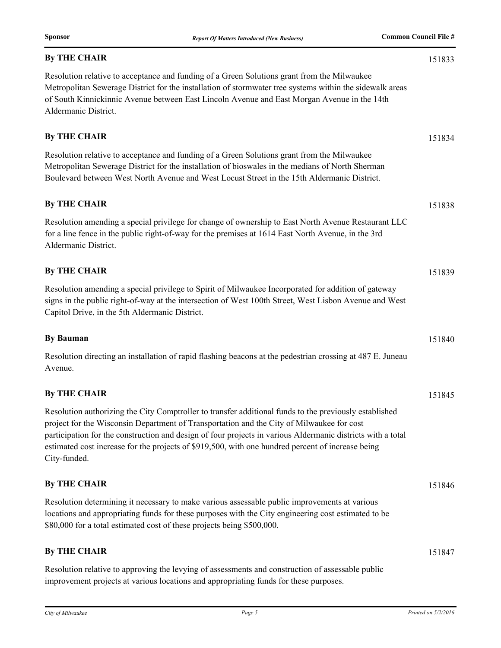| <b>By THE CHAIR</b>                                                                                                                                                                                                                                                                                                                                                                                                                     | 151833 |
|-----------------------------------------------------------------------------------------------------------------------------------------------------------------------------------------------------------------------------------------------------------------------------------------------------------------------------------------------------------------------------------------------------------------------------------------|--------|
| Resolution relative to acceptance and funding of a Green Solutions grant from the Milwaukee<br>Metropolitan Sewerage District for the installation of stormwater tree systems within the sidewalk areas<br>of South Kinnickinnic Avenue between East Lincoln Avenue and East Morgan Avenue in the 14th<br>Aldermanic District.                                                                                                          |        |
| <b>By THE CHAIR</b>                                                                                                                                                                                                                                                                                                                                                                                                                     | 151834 |
| Resolution relative to acceptance and funding of a Green Solutions grant from the Milwaukee<br>Metropolitan Sewerage District for the installation of bioswales in the medians of North Sherman<br>Boulevard between West North Avenue and West Locust Street in the 15th Aldermanic District.                                                                                                                                          |        |
| <b>By THE CHAIR</b>                                                                                                                                                                                                                                                                                                                                                                                                                     | 151838 |
| Resolution amending a special privilege for change of ownership to East North Avenue Restaurant LLC<br>for a line fence in the public right-of-way for the premises at 1614 East North Avenue, in the 3rd<br>Aldermanic District.                                                                                                                                                                                                       |        |
| <b>By THE CHAIR</b>                                                                                                                                                                                                                                                                                                                                                                                                                     | 151839 |
| Resolution amending a special privilege to Spirit of Milwaukee Incorporated for addition of gateway<br>signs in the public right-of-way at the intersection of West 100th Street, West Lisbon Avenue and West<br>Capitol Drive, in the 5th Aldermanic District.                                                                                                                                                                         |        |
| <b>By Bauman</b>                                                                                                                                                                                                                                                                                                                                                                                                                        | 151840 |
| Resolution directing an installation of rapid flashing beacons at the pedestrian crossing at 487 E. Juneau<br>Avenue.                                                                                                                                                                                                                                                                                                                   |        |
| <b>By THE CHAIR</b>                                                                                                                                                                                                                                                                                                                                                                                                                     | 151845 |
| Resolution authorizing the City Comptroller to transfer additional funds to the previously established<br>project for the Wisconsin Department of Transportation and the City of Milwaukee for cost<br>participation for the construction and design of four projects in various Aldermanic districts with a total<br>estimated cost increase for the projects of \$919,500, with one hundred percent of increase being<br>City-funded. |        |
| <b>By THE CHAIR</b>                                                                                                                                                                                                                                                                                                                                                                                                                     | 151846 |
| Resolution determining it necessary to make various assessable public improvements at various<br>locations and appropriating funds for these purposes with the City engineering cost estimated to be<br>\$80,000 for a total estimated cost of these projects being \$500,000.                                                                                                                                                          |        |
| <b>By THE CHAIR</b>                                                                                                                                                                                                                                                                                                                                                                                                                     | 151847 |
| Resolution relative to approving the levying of assessments and construction of assessable public                                                                                                                                                                                                                                                                                                                                       |        |

improvement projects at various locations and appropriating funds for these purposes.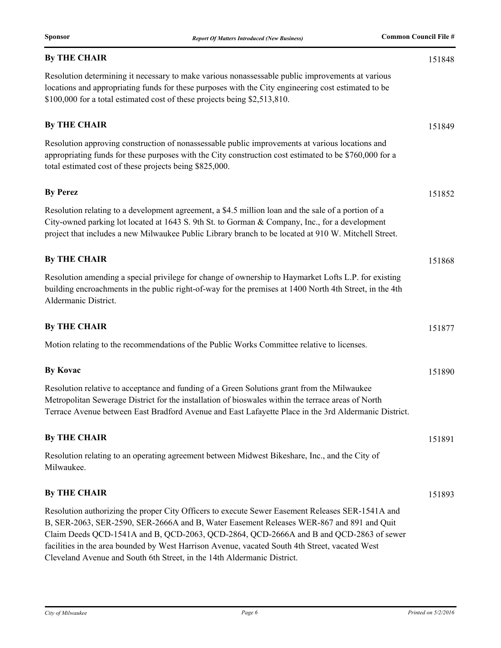| <b>By THE CHAIR</b>                                                                                                                                                                                                                                                                                                                                                                      | 151848 |
|------------------------------------------------------------------------------------------------------------------------------------------------------------------------------------------------------------------------------------------------------------------------------------------------------------------------------------------------------------------------------------------|--------|
| Resolution determining it necessary to make various nonassessable public improvements at various<br>locations and appropriating funds for these purposes with the City engineering cost estimated to be<br>\$100,000 for a total estimated cost of these projects being \$2,513,810.                                                                                                     |        |
| <b>By THE CHAIR</b>                                                                                                                                                                                                                                                                                                                                                                      | 151849 |
| Resolution approving construction of nonassessable public improvements at various locations and<br>appropriating funds for these purposes with the City construction cost estimated to be \$760,000 for a<br>total estimated cost of these projects being \$825,000.                                                                                                                     |        |
| <b>By Perez</b>                                                                                                                                                                                                                                                                                                                                                                          | 151852 |
| Resolution relating to a development agreement, a \$4.5 million loan and the sale of a portion of a<br>City-owned parking lot located at 1643 S. 9th St. to Gorman & Company, Inc., for a development<br>project that includes a new Milwaukee Public Library branch to be located at 910 W. Mitchell Street.                                                                            |        |
| <b>By THE CHAIR</b>                                                                                                                                                                                                                                                                                                                                                                      | 151868 |
| Resolution amending a special privilege for change of ownership to Haymarket Lofts L.P. for existing<br>building encroachments in the public right-of-way for the premises at 1400 North 4th Street, in the 4th<br>Aldermanic District.                                                                                                                                                  |        |
| <b>By THE CHAIR</b>                                                                                                                                                                                                                                                                                                                                                                      | 151877 |
| Motion relating to the recommendations of the Public Works Committee relative to licenses.                                                                                                                                                                                                                                                                                               |        |
| <b>By Kovac</b>                                                                                                                                                                                                                                                                                                                                                                          | 151890 |
| Resolution relative to acceptance and funding of a Green Solutions grant from the Milwaukee<br>Metropolitan Sewerage District for the installation of bioswales within the terrace areas of North<br>Terrace Avenue between East Bradford Avenue and East Lafayette Place in the 3rd Aldermanic District.                                                                                |        |
| <b>By THE CHAIR</b>                                                                                                                                                                                                                                                                                                                                                                      | 151891 |
| Resolution relating to an operating agreement between Midwest Bikeshare, Inc., and the City of<br>Milwaukee.                                                                                                                                                                                                                                                                             |        |
| <b>By THE CHAIR</b>                                                                                                                                                                                                                                                                                                                                                                      | 151893 |
| Resolution authorizing the proper City Officers to execute Sewer Easement Releases SER-1541A and<br>B, SER-2063, SER-2590, SER-2666A and B, Water Easement Releases WER-867 and 891 and Quit<br>Claim Deeds QCD-1541A and B, QCD-2063, QCD-2864, QCD-2666A and B and QCD-2863 of sewer<br>facilities in the area bounded by West Harrison Avenue, vacated South 4th Street, vacated West |        |

Cleveland Avenue and South 6th Street, in the 14th Aldermanic District.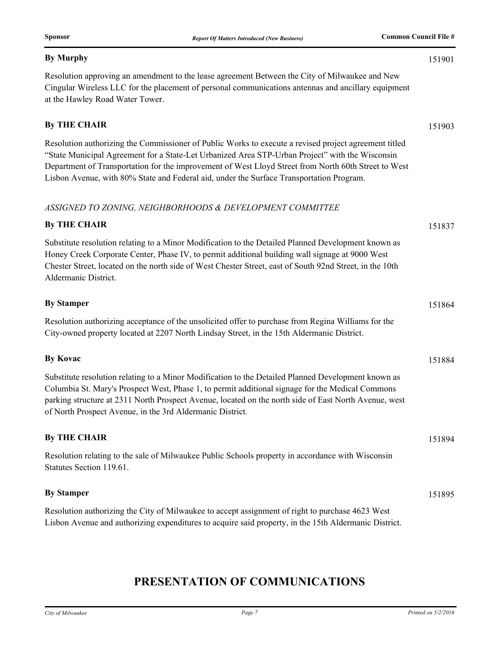#### **By Murphy** 151901

Resolution approving an amendment to the lease agreement Between the City of Milwaukee and New Cingular Wireless LLC for the placement of personal communications antennas and ancillary equipment at the Hawley Road Water Tower.

#### **By THE CHAIR** 151903

Resolution authorizing the Commissioner of Public Works to execute a revised project agreement titled "State Municipal Agreement for a State-Let Urbanized Area STP-Urban Project" with the Wisconsin Department of Transportation for the improvement of West Lloyd Street from North 60th Street to West Lisbon Avenue, with 80% State and Federal aid, under the Surface Transportation Program.

#### *ASSIGNED TO ZONING, NEIGHBORHOODS & DEVELOPMENT COMMITTEE*

# **By THE CHAIR** 151837 Substitute resolution relating to a Minor Modification to the Detailed Planned Development known as Honey Creek Corporate Center, Phase IV, to permit additional building wall signage at 9000 West Chester Street, located on the north side of West Chester Street, east of South 92nd Street, in the 10th Aldermanic District. **By Stamper** 151864 Resolution authorizing acceptance of the unsolicited offer to purchase from Regina Williams for the City-owned property located at 2207 North Lindsay Street, in the 15th Aldermanic District. **By Kovac** 151884 Substitute resolution relating to a Minor Modification to the Detailed Planned Development known as Columbia St. Mary's Prospect West, Phase 1, to permit additional signage for the Medical Commons parking structure at 2311 North Prospect Avenue, located on the north side of East North Avenue, west of North Prospect Avenue, in the 3rd Aldermanic District. **By THE CHAIR** 151894 Resolution relating to the sale of Milwaukee Public Schools property in accordance with Wisconsin Statutes Section 119.61 **By Stamper** 151895 Resolution authorizing the City of Milwaukee to accept assignment of right to purchase 4623 West

Lisbon Avenue and authorizing expenditures to acquire said property, in the 15th Aldermanic District.

# **PRESENTATION OF COMMUNICATIONS**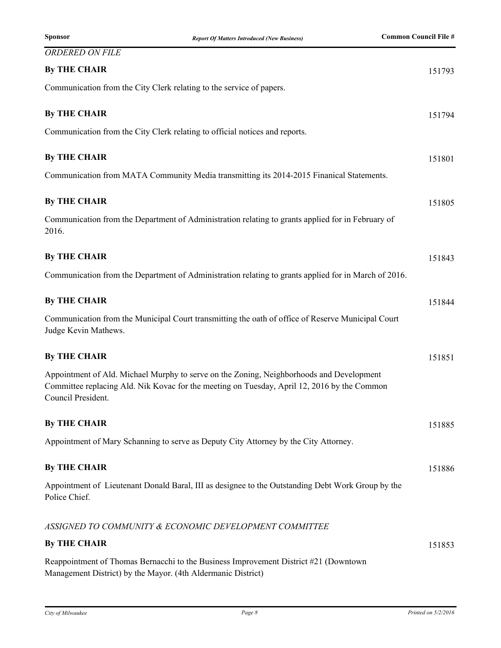| <b>ORDERED ON FILE</b>                                                                                                                                                                                        |        |
|---------------------------------------------------------------------------------------------------------------------------------------------------------------------------------------------------------------|--------|
| <b>By THE CHAIR</b>                                                                                                                                                                                           | 151793 |
| Communication from the City Clerk relating to the service of papers.                                                                                                                                          |        |
| <b>By THE CHAIR</b>                                                                                                                                                                                           | 151794 |
| Communication from the City Clerk relating to official notices and reports.                                                                                                                                   |        |
| <b>By THE CHAIR</b>                                                                                                                                                                                           | 151801 |
| Communication from MATA Community Media transmitting its 2014-2015 Finanical Statements.                                                                                                                      |        |
| <b>By THE CHAIR</b>                                                                                                                                                                                           | 151805 |
| Communication from the Department of Administration relating to grants applied for in February of<br>2016.                                                                                                    |        |
| <b>By THE CHAIR</b>                                                                                                                                                                                           | 151843 |
| Communication from the Department of Administration relating to grants applied for in March of 2016.                                                                                                          |        |
| <b>By THE CHAIR</b>                                                                                                                                                                                           | 151844 |
| Communication from the Municipal Court transmitting the oath of office of Reserve Municipal Court<br>Judge Kevin Mathews.                                                                                     |        |
| <b>By THE CHAIR</b>                                                                                                                                                                                           | 151851 |
| Appointment of Ald. Michael Murphy to serve on the Zoning, Neighborhoods and Development<br>Committee replacing Ald. Nik Kovac for the meeting on Tuesday, April 12, 2016 by the Common<br>Council President. |        |
| <b>By THE CHAIR</b>                                                                                                                                                                                           | 151885 |
| Appointment of Mary Schanning to serve as Deputy City Attorney by the City Attorney.                                                                                                                          |        |
| <b>By THE CHAIR</b>                                                                                                                                                                                           | 151886 |
| Appointment of Lieutenant Donald Baral, III as designee to the Outstanding Debt Work Group by the<br>Police Chief.                                                                                            |        |
| ASSIGNED TO COMMUNITY & ECONOMIC DEVELOPMENT COMMITTEE                                                                                                                                                        |        |
| <b>By THE CHAIR</b>                                                                                                                                                                                           | 151853 |
| Reappointment of Thomas Bernacchi to the Business Improvement District #21 (Downtown                                                                                                                          |        |

Management District) by the Mayor. (4th Aldermanic District)